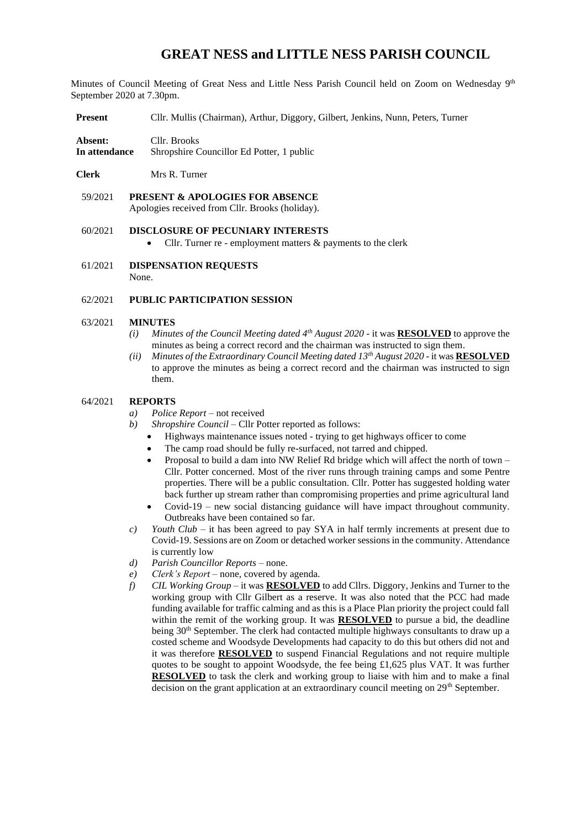# **GREAT NESS and LITTLE NESS PARISH COUNCIL**

Minutes of Council Meeting of Great Ness and Little Ness Parish Council held on Zoom on Wednesday 9<sup>th</sup> September 2020 at 7.30pm.

**Present** Cllr. Mullis (Chairman), Arthur, Diggory, Gilbert, Jenkins, Nunn, Peters, Turner

**Absent:** Cllr. Brooks **In attendance** Shropshire Councillor Ed Potter, 1 public

**Clerk** Mrs R. Turner

59/2021 **PRESENT & APOLOGIES FOR ABSENCE**  Apologies received from Cllr. Brooks (holiday).

# 60/2021 **DISCLOSURE OF PECUNIARY INTERESTS**

- Cllr. Turner re employment matters & payments to the clerk
- 61/2021 **DISPENSATION REQUESTS** None.

# 62/2021 **PUBLIC PARTICIPATION SESSION**

#### 63/2021 **MINUTES**

- *(i) Minutes of the Council Meeting dated 4th August 2020* it was **RESOLVED** to approve the minutes as being a correct record and the chairman was instructed to sign them.
- *(ii) Minutes of the Extraordinary Council Meeting dated 13th August 2020* it was **RESOLVED** to approve the minutes as being a correct record and the chairman was instructed to sign them.

#### 64/2021 **REPORTS**

- *a*) *Police Report* not received
- *b) Shropshire Council*  Cllr Potter reported as follows:
	- Highways maintenance issues noted trying to get highways officer to come
	- The camp road should be fully re-surfaced, not tarred and chipped.
	- Proposal to build a dam into NW Relief Rd bridge which will affect the north of town Cllr. Potter concerned. Most of the river runs through training camps and some Pentre properties. There will be a public consultation. Cllr. Potter has suggested holding water back further up stream rather than compromising properties and prime agricultural land
	- Covid-19 new social distancing guidance will have impact throughout community. Outbreaks have been contained so far.
- *c*) *Youth Club –* it has been agreed to pay SYA in half termly increments at present due to Covid-19. Sessions are on Zoom or detached worker sessions in the community. Attendance is currently low
- *d) Parish Councillor Reports* none.
- *e) Clerk's Report* none, covered by agenda.
- *f) CIL Working Group –* it was **RESOLVED** to add Cllrs. Diggory, Jenkins and Turner to the working group with Cllr Gilbert as a reserve. It was also noted that the PCC had made funding available for traffic calming and as this is a Place Plan priority the project could fall within the remit of the working group. It was **RESOLVED** to pursue a bid, the deadline being 30<sup>th</sup> September. The clerk had contacted multiple highways consultants to draw up a costed scheme and Woodsyde Developments had capacity to do this but others did not and it was therefore **RESOLVED** to suspend Financial Regulations and not require multiple quotes to be sought to appoint Woodsyde, the fee being  $\pounds1,625$  plus VAT. It was further **RESOLVED** to task the clerk and working group to liaise with him and to make a final decision on the grant application at an extraordinary council meeting on  $29<sup>th</sup>$  September.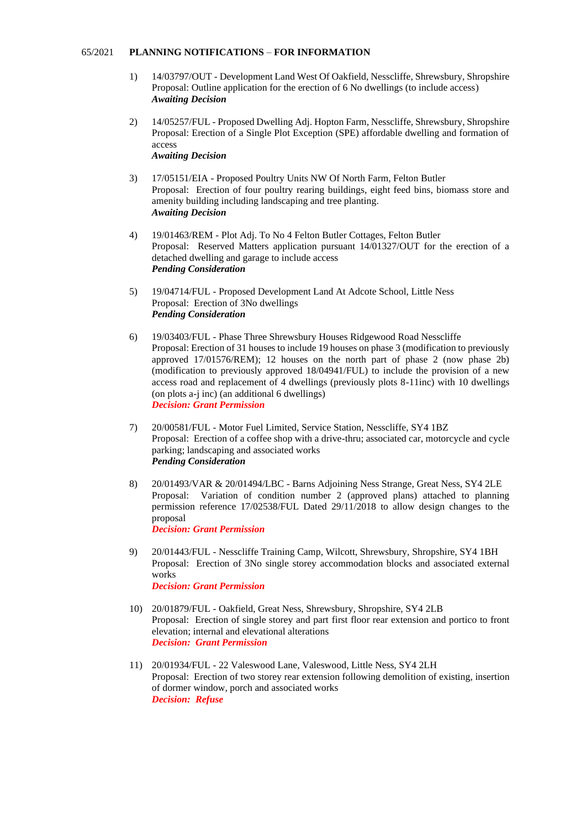#### 65/2021 **PLANNING NOTIFICATIONS** – **FOR INFORMATION**

- 1) 14/03797/OUT Development Land West Of Oakfield, Nesscliffe, Shrewsbury, Shropshire Proposal: Outline application for the erection of 6 No dwellings (to include access) *Awaiting Decision*
- 2) 14/05257/FUL Proposed Dwelling Adj. Hopton Farm, Nesscliffe, Shrewsbury, Shropshire Proposal: Erection of a Single Plot Exception (SPE) affordable dwelling and formation of access *Awaiting Decision*
- 3) 17/05151/EIA Proposed Poultry Units NW Of North Farm, Felton Butler Proposal: Erection of four poultry rearing buildings, eight feed bins, biomass store and amenity building including landscaping and tree planting. *Awaiting Decision*
- 4) 19/01463/REM Plot Adj. To No 4 Felton Butler Cottages, Felton Butler Proposal: Reserved Matters application pursuant 14/01327/OUT for the erection of a detached dwelling and garage to include access *Pending Consideration*
- 5) 19/04714/FUL Proposed Development Land At Adcote School, Little Ness Proposal: Erection of 3No dwellings *Pending Consideration*
- 6) 19/03403/FUL Phase Three Shrewsbury Houses Ridgewood Road Nesscliffe Proposal: Erection of 31 houses to include 19 houses on phase 3 (modification to previously approved 17/01576/REM); 12 houses on the north part of phase 2 (now phase 2b) (modification to previously approved 18/04941/FUL) to include the provision of a new access road and replacement of 4 dwellings (previously plots 8-11inc) with 10 dwellings (on plots a-j inc) (an additional 6 dwellings) *Decision: Grant Permission*
- 7) 20/00581/FUL Motor Fuel Limited, Service Station, Nesscliffe, SY4 1BZ Proposal: Erection of a coffee shop with a drive-thru; associated car, motorcycle and cycle parking; landscaping and associated works *Pending Consideration*
- 8) 20/01493/VAR & 20/01494/LBC Barns Adjoining Ness Strange, Great Ness, SY4 2LE Proposal: Variation of condition number 2 (approved plans) attached to planning permission reference 17/02538/FUL Dated 29/11/2018 to allow design changes to the proposal *Decision: Grant Permission*
- 9) 20/01443/FUL Nesscliffe Training Camp, Wilcott, Shrewsbury, Shropshire, SY4 1BH Proposal: Erection of 3No single storey accommodation blocks and associated external works *Decision: Grant Permission*
- 10) 20/01879/FUL Oakfield, Great Ness, Shrewsbury, Shropshire, SY4 2LB Proposal: Erection of single storey and part first floor rear extension and portico to front elevation; internal and elevational alterations *Decision: Grant Permission*
- 11) 20/01934/FUL 22 Valeswood Lane, Valeswood, Little Ness, SY4 2LH Proposal: Erection of two storey rear extension following demolition of existing, insertion of dormer window, porch and associated works *Decision: Refuse*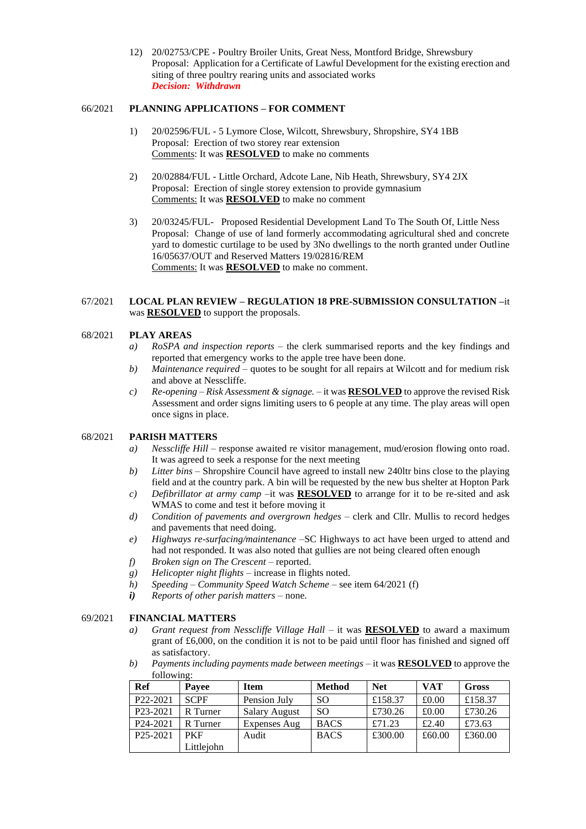12) 20/02753/CPE - Poultry Broiler Units, Great Ness, Montford Bridge, Shrewsbury Proposal: Application for a Certificate of Lawful Development for the existing erection and siting of three poultry rearing units and associated works *Decision: Withdrawn*

## 66/2021 **PLANNING APPLICATIONS – FOR COMMENT**

- 1) 20/02596/FUL 5 Lymore Close, Wilcott, Shrewsbury, Shropshire, SY4 1BB Proposal: Erection of two storey rear extension Comments: It was **RESOLVED** to make no comments
- 2) 20/02884/FUL Little Orchard, Adcote Lane, Nib Heath, Shrewsbury, SY4 2JX Proposal: Erection of single storey extension to provide gymnasium Comments: It was **RESOLVED** to make no comment
- 3) 20/03245/FUL- Proposed Residential Development Land To The South Of, Little Ness Proposal: Change of use of land formerly accommodating agricultural shed and concrete yard to domestic curtilage to be used by 3No dwellings to the north granted under Outline 16/05637/OUT and Reserved Matters 19/02816/REM Comments: It was **RESOLVED** to make no comment.

## 67/2021 **LOCAL PLAN REVIEW – REGULATION 18 PRE-SUBMISSION CONSULTATION –**it was **RESOLVED** to support the proposals.

# 68/2021 **PLAY AREAS**

- *a) RoSPA and inspection reports* the clerk summarised reports and the key findings and reported that emergency works to the apple tree have been done.
- *b) Maintenance required* quotes to be sought for all repairs at Wilcott and for medium risk and above at Nesscliffe.
- *c) Re-opening – Risk Assessment & signage.*  it was **RESOLVED** to approve the revised Risk Assessment and order signs limiting users to 6 people at any time. The play areas will open once signs in place.

#### 68/2021 **PARISH MATTERS**

- *a) Nesscliffe Hill –* response awaited re visitor management, mud/erosion flowing onto road. It was agreed to seek a response for the next meeting
- *b) Litter bins*  Shropshire Council have agreed to install new 240ltr bins close to the playing field and at the country park. A bin will be requested by the new bus shelter at Hopton Park
- *c) Defibrillator at army camp –*it was **RESOLVED** to arrange for it to be re-sited and ask WMAS to come and test it before moving it
- *d) Condition of pavements and overgrown hedges* clerk and Cllr. Mullis to record hedges and pavements that need doing.
- *e) Highways re-surfacing/maintenance –*SC Highways to act have been urged to attend and had not responded. It was also noted that gullies are not being cleared often enough
- *f) Broken sign on The Crescent* reported.
- *g) Helicopter night flights* increase in flights noted.
- *h) Speeding – Community Speed Watch Scheme –* see item 64/2021 (f)
- *i) Reports of other parish matters*  none.

## 69/2021 **FINANCIAL MATTERS**

- *a*) *Grant request from Nesscliffe Village Hall* it was **RESOLVED** to award a maximum grant of £6,000, on the condition it is not to be paid until floor has finished and signed off as satisfactory.
- *b) Payments including payments made between meetings* it was **RESOLVED** to approve the following:

| <b>Ref</b>            | Pavee       | <b>Item</b>          | <b>Method</b> | <b>Net</b> | <b>VAT</b> | Gross   |
|-----------------------|-------------|----------------------|---------------|------------|------------|---------|
| P <sub>22</sub> -2021 | <b>SCPF</b> | Pension July         | <sub>SO</sub> | £158.37    | £0.00      | £158.37 |
| P <sub>23</sub> -2021 | R Turner    | <b>Salary August</b> | <sub>SO</sub> | £730.26    | £0.00      | £730.26 |
| P <sub>24</sub> -2021 | R Turner    | Expenses Aug         | <b>BACS</b>   | £71.23     | £2.40      | £73.63  |
| P <sub>25</sub> -2021 | <b>PKF</b>  | Audit                | <b>BACS</b>   | £300.00    | £60.00     | £360.00 |
|                       | Littleiohn  |                      |               |            |            |         |